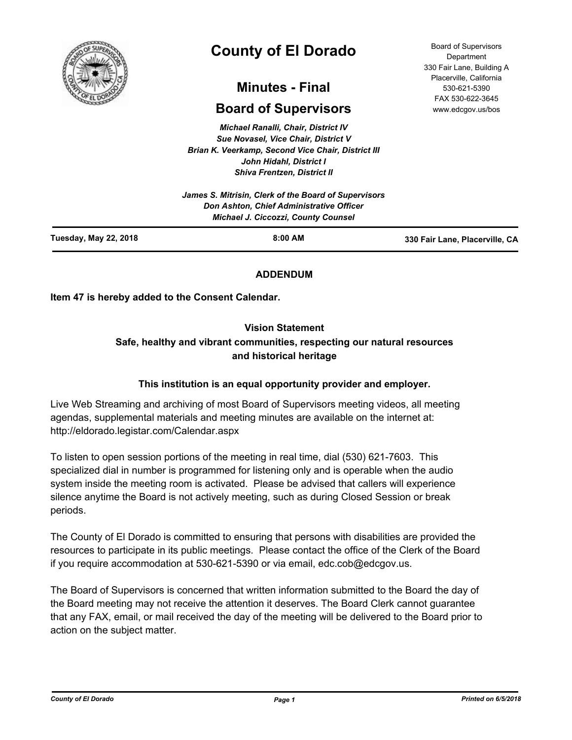

# **County of El Dorado**

# **Minutes - Final**

# **Board of Supervisors**

*Michael Ranalli, Chair, District IV Sue Novasel, Vice Chair, District V Brian K. Veerkamp, Second Vice Chair, District III John Hidahl, District I Shiva Frentzen, District II*

| <b>Tuesday, May 22, 2018</b><br>$8:00$ AM                                              | 330 Fair Lane, Placerville, CA |
|----------------------------------------------------------------------------------------|--------------------------------|
| Don Ashton, Chief Administrative Officer<br><b>Michael J. Ciccozzi, County Counsel</b> |                                |
| James S. Mitrisin, Clerk of the Board of Supervisors                                   |                                |

# **ADDENDUM**

**Item 47 is hereby added to the Consent Calendar.**

# **Vision Statement**

# **Safe, healthy and vibrant communities, respecting our natural resources and historical heritage**

# **This institution is an equal opportunity provider and employer.**

Live Web Streaming and archiving of most Board of Supervisors meeting videos, all meeting agendas, supplemental materials and meeting minutes are available on the internet at: http://eldorado.legistar.com/Calendar.aspx

To listen to open session portions of the meeting in real time, dial (530) 621-7603. This specialized dial in number is programmed for listening only and is operable when the audio system inside the meeting room is activated. Please be advised that callers will experience silence anytime the Board is not actively meeting, such as during Closed Session or break periods.

The County of El Dorado is committed to ensuring that persons with disabilities are provided the resources to participate in its public meetings. Please contact the office of the Clerk of the Board if you require accommodation at 530-621-5390 or via email, edc.cob@edcgov.us.

The Board of Supervisors is concerned that written information submitted to the Board the day of the Board meeting may not receive the attention it deserves. The Board Clerk cannot guarantee that any FAX, email, or mail received the day of the meeting will be delivered to the Board prior to action on the subject matter.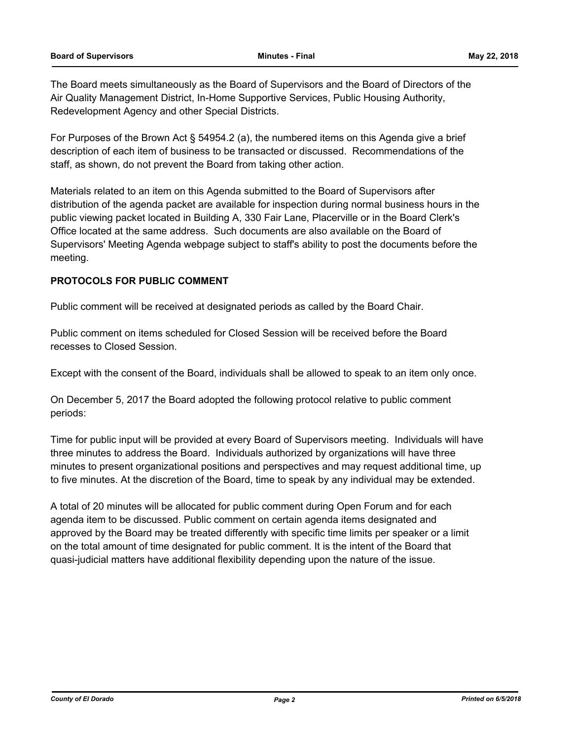The Board meets simultaneously as the Board of Supervisors and the Board of Directors of the Air Quality Management District, In-Home Supportive Services, Public Housing Authority, Redevelopment Agency and other Special Districts.

For Purposes of the Brown Act § 54954.2 (a), the numbered items on this Agenda give a brief description of each item of business to be transacted or discussed. Recommendations of the staff, as shown, do not prevent the Board from taking other action.

Materials related to an item on this Agenda submitted to the Board of Supervisors after distribution of the agenda packet are available for inspection during normal business hours in the public viewing packet located in Building A, 330 Fair Lane, Placerville or in the Board Clerk's Office located at the same address. Such documents are also available on the Board of Supervisors' Meeting Agenda webpage subject to staff's ability to post the documents before the meeting.

# **PROTOCOLS FOR PUBLIC COMMENT**

Public comment will be received at designated periods as called by the Board Chair.

Public comment on items scheduled for Closed Session will be received before the Board recesses to Closed Session.

Except with the consent of the Board, individuals shall be allowed to speak to an item only once.

On December 5, 2017 the Board adopted the following protocol relative to public comment periods:

Time for public input will be provided at every Board of Supervisors meeting. Individuals will have three minutes to address the Board. Individuals authorized by organizations will have three minutes to present organizational positions and perspectives and may request additional time, up to five minutes. At the discretion of the Board, time to speak by any individual may be extended.

A total of 20 minutes will be allocated for public comment during Open Forum and for each agenda item to be discussed. Public comment on certain agenda items designated and approved by the Board may be treated differently with specific time limits per speaker or a limit on the total amount of time designated for public comment. It is the intent of the Board that quasi-judicial matters have additional flexibility depending upon the nature of the issue.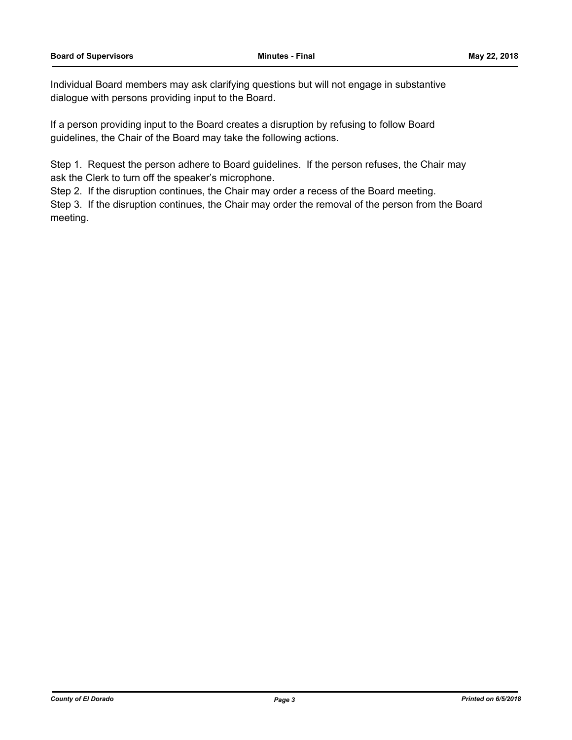Individual Board members may ask clarifying questions but will not engage in substantive dialogue with persons providing input to the Board.

If a person providing input to the Board creates a disruption by refusing to follow Board guidelines, the Chair of the Board may take the following actions.

Step 1. Request the person adhere to Board guidelines. If the person refuses, the Chair may ask the Clerk to turn off the speaker's microphone.

Step 2. If the disruption continues, the Chair may order a recess of the Board meeting.

Step 3. If the disruption continues, the Chair may order the removal of the person from the Board meeting.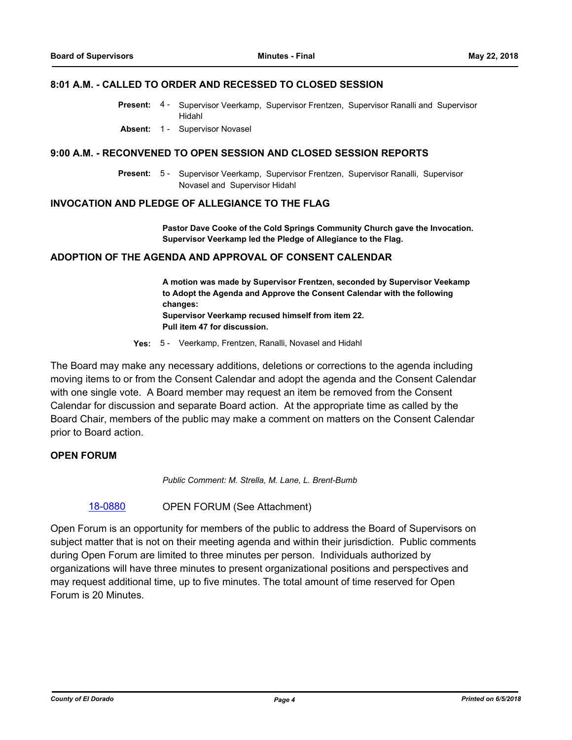### **8:01 A.M. - CALLED TO ORDER AND RECESSED TO CLOSED SESSION**

- Present: 4 Supervisor Veerkamp, Supervisor Frentzen, Supervisor Ranalli and Supervisor Hidahl
- **Absent:** 1 Supervisor Novasel

### **9:00 A.M. - RECONVENED TO OPEN SESSION AND CLOSED SESSION REPORTS**

Present: 5 - Supervisor Veerkamp, Supervisor Frentzen, Supervisor Ranalli, Supervisor Novasel and Supervisor Hidahl

### **INVOCATION AND PLEDGE OF ALLEGIANCE TO THE FLAG**

**Pastor Dave Cooke of the Cold Springs Community Church gave the Invocation. Supervisor Veerkamp led the Pledge of Allegiance to the Flag.**

### **ADOPTION OF THE AGENDA AND APPROVAL OF CONSENT CALENDAR**

**A motion was made by Supervisor Frentzen, seconded by Supervisor Veekamp to Adopt the Agenda and Approve the Consent Calendar with the following changes: Supervisor Veerkamp recused himself from item 22. Pull item 47 for discussion.**

**Yes:** 5 - Veerkamp, Frentzen, Ranalli, Novasel and Hidahl

The Board may make any necessary additions, deletions or corrections to the agenda including moving items to or from the Consent Calendar and adopt the agenda and the Consent Calendar with one single vote. A Board member may request an item be removed from the Consent Calendar for discussion and separate Board action. At the appropriate time as called by the Board Chair, members of the public may make a comment on matters on the Consent Calendar prior to Board action.

# **OPEN FORUM**

*Public Comment: M. Strella, M. Lane, L. Brent-Bumb*

[18-0880](http://eldorado.legistar.com/gateway.aspx?m=l&id=/matter.aspx?key=24227) OPEN FORUM (See Attachment)

Open Forum is an opportunity for members of the public to address the Board of Supervisors on subject matter that is not on their meeting agenda and within their jurisdiction. Public comments during Open Forum are limited to three minutes per person. Individuals authorized by organizations will have three minutes to present organizational positions and perspectives and may request additional time, up to five minutes. The total amount of time reserved for Open Forum is 20 Minutes.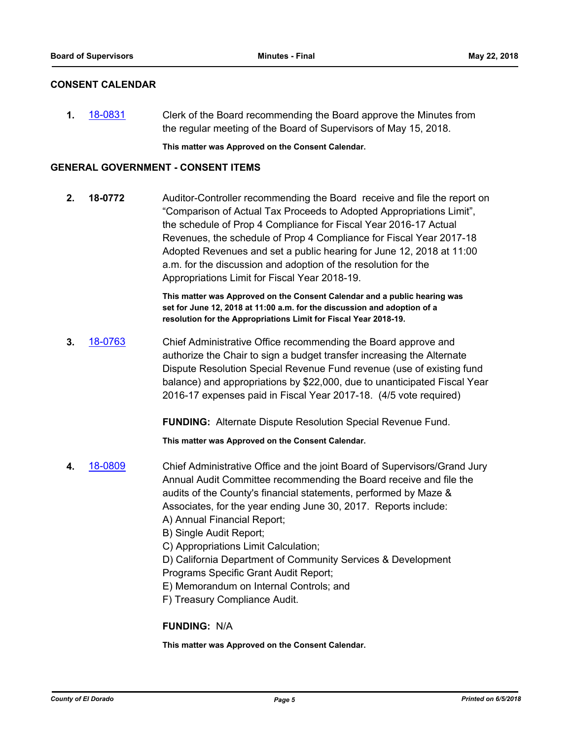# **CONSENT CALENDAR**

**1.** [18-0831](http://eldorado.legistar.com/gateway.aspx?m=l&id=/matter.aspx?key=24178) Clerk of the Board recommending the Board approve the Minutes from the regular meeting of the Board of Supervisors of May 15, 2018.

**This matter was Approved on the Consent Calendar.**

### **GENERAL GOVERNMENT - CONSENT ITEMS**

**2. 18-0772** Auditor-Controller recommending the Board receive and file the report on "Comparison of Actual Tax Proceeds to Adopted Appropriations Limit", the schedule of Prop 4 Compliance for Fiscal Year 2016-17 Actual Revenues, the schedule of Prop 4 Compliance for Fiscal Year 2017-18 Adopted Revenues and set a public hearing for June 12, 2018 at 11:00 a.m. for the discussion and adoption of the resolution for the Appropriations Limit for Fiscal Year 2018-19.

> **This matter was Approved on the Consent Calendar and a public hearing was set for June 12, 2018 at 11:00 a.m. for the discussion and adoption of a resolution for the Appropriations Limit for Fiscal Year 2018-19.**

**3.** [18-0763](http://eldorado.legistar.com/gateway.aspx?m=l&id=/matter.aspx?key=24110) Chief Administrative Office recommending the Board approve and authorize the Chair to sign a budget transfer increasing the Alternate Dispute Resolution Special Revenue Fund revenue (use of existing fund balance) and appropriations by \$22,000, due to unanticipated Fiscal Year 2016-17 expenses paid in Fiscal Year 2017-18. (4/5 vote required)

**FUNDING:** Alternate Dispute Resolution Special Revenue Fund.

**This matter was Approved on the Consent Calendar.**

- **4.** [18-0809](http://eldorado.legistar.com/gateway.aspx?m=l&id=/matter.aspx?key=24156) Chief Administrative Office and the joint Board of Supervisors/Grand Jury Annual Audit Committee recommending the Board receive and file the audits of the County's financial statements, performed by Maze & Associates, for the year ending June 30, 2017. Reports include: A) Annual Financial Report;
	- B) Single Audit Report;
	- C) Appropriations Limit Calculation;
	- D) California Department of Community Services & Development Programs Specific Grant Audit Report;
	- E) Memorandum on Internal Controls; and
	- F) Treasury Compliance Audit.

# **FUNDING:** N/A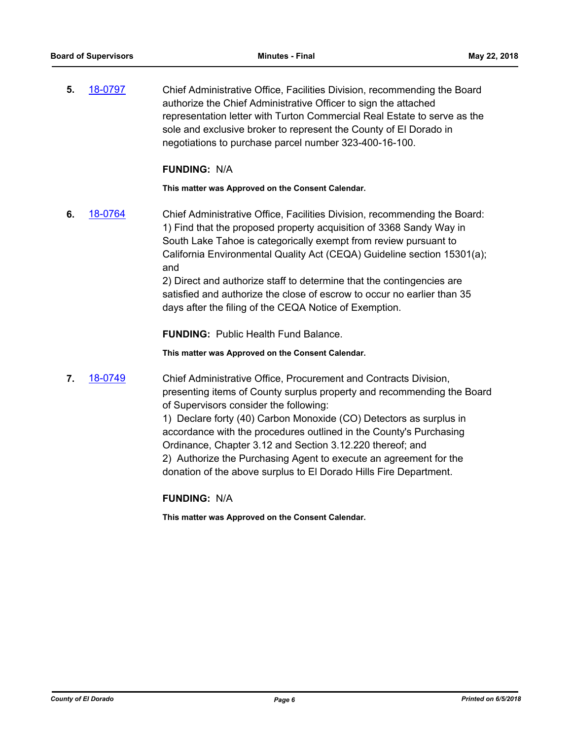**5.** [18-0797](http://eldorado.legistar.com/gateway.aspx?m=l&id=/matter.aspx?key=24144) Chief Administrative Office, Facilities Division, recommending the Board authorize the Chief Administrative Officer to sign the attached representation letter with Turton Commercial Real Estate to serve as the sole and exclusive broker to represent the County of El Dorado in negotiations to purchase parcel number 323-400-16-100.

### **FUNDING:** N/A

**This matter was Approved on the Consent Calendar.**

**6.** [18-0764](http://eldorado.legistar.com/gateway.aspx?m=l&id=/matter.aspx?key=24111) Chief Administrative Office, Facilities Division, recommending the Board: 1) Find that the proposed property acquisition of 3368 Sandy Way in South Lake Tahoe is categorically exempt from review pursuant to California Environmental Quality Act (CEQA) Guideline section 15301(a); and

> 2) Direct and authorize staff to determine that the contingencies are satisfied and authorize the close of escrow to occur no earlier than 35 days after the filing of the CEQA Notice of Exemption.

**FUNDING:** Public Health Fund Balance.

**This matter was Approved on the Consent Calendar.**

**7.** [18-0749](http://eldorado.legistar.com/gateway.aspx?m=l&id=/matter.aspx?key=24096) Chief Administrative Office, Procurement and Contracts Division, presenting items of County surplus property and recommending the Board of Supervisors consider the following:

> 1) Declare forty (40) Carbon Monoxide (CO) Detectors as surplus in accordance with the procedures outlined in the County's Purchasing Ordinance, Chapter 3.12 and Section 3.12.220 thereof; and 2) Authorize the Purchasing Agent to execute an agreement for the donation of the above surplus to El Dorado Hills Fire Department.

# **FUNDING:** N/A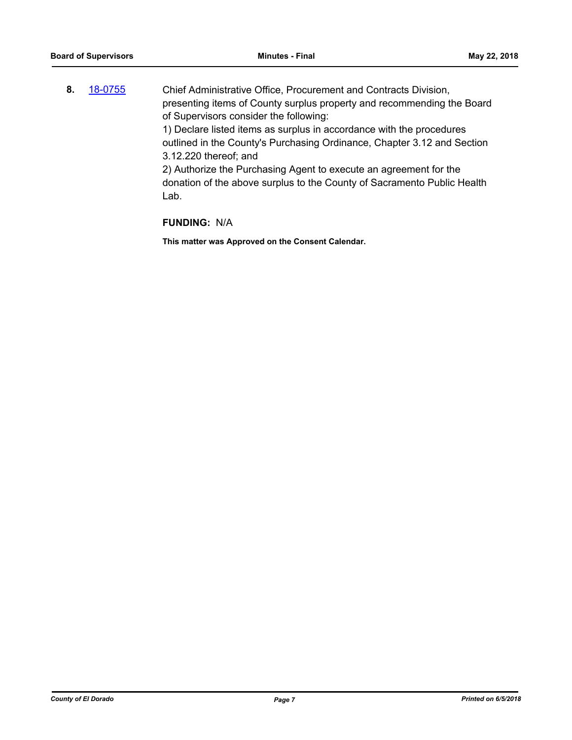**8.** [18-0755](http://eldorado.legistar.com/gateway.aspx?m=l&id=/matter.aspx?key=24102) Chief Administrative Office, Procurement and Contracts Division, presenting items of County surplus property and recommending the Board of Supervisors consider the following: 1) Declare listed items as surplus in accordance with the procedures

outlined in the County's Purchasing Ordinance, Chapter 3.12 and Section 3.12.220 thereof; and

2) Authorize the Purchasing Agent to execute an agreement for the donation of the above surplus to the County of Sacramento Public Health Lab.

# **FUNDING:** N/A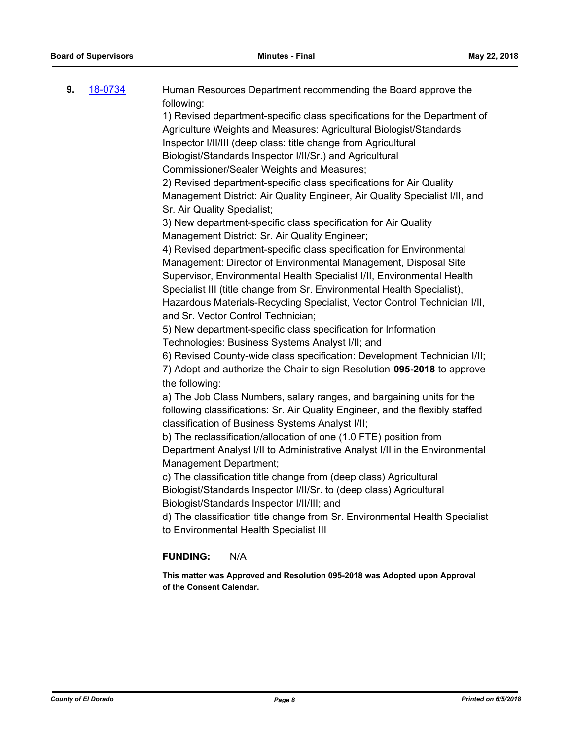| 9. | 18-0734 | Human Resources Department recommending the Board approve the<br>following:                            |
|----|---------|--------------------------------------------------------------------------------------------------------|
|    |         | 1) Revised department-specific class specifications for the Department of                              |
|    |         | Agriculture Weights and Measures: Agricultural Biologist/Standards                                     |
|    |         | Inspector I/II/III (deep class: title change from Agricultural                                         |
|    |         | Biologist/Standards Inspector I/II/Sr.) and Agricultural                                               |
|    |         | Commissioner/Sealer Weights and Measures;                                                              |
|    |         | 2) Revised department-specific class specifications for Air Quality                                    |
|    |         | Management District: Air Quality Engineer, Air Quality Specialist I/II, and                            |
|    |         | Sr. Air Quality Specialist;                                                                            |
|    |         | 3) New department-specific class specification for Air Quality                                         |
|    |         | Management District: Sr. Air Quality Engineer;                                                         |
|    |         | 4) Revised department-specific class specification for Environmental                                   |
|    |         | Management: Director of Environmental Management, Disposal Site                                        |
|    |         | Supervisor, Environmental Health Specialist I/II, Environmental Health                                 |
|    |         | Specialist III (title change from Sr. Environmental Health Specialist),                                |
|    |         | Hazardous Materials-Recycling Specialist, Vector Control Technician I/II,                              |
|    |         | and Sr. Vector Control Technician;                                                                     |
|    |         | 5) New department-specific class specification for Information                                         |
|    |         | Technologies: Business Systems Analyst I/II; and                                                       |
|    |         | 6) Revised County-wide class specification: Development Technician I/II;                               |
|    |         | 7) Adopt and authorize the Chair to sign Resolution 095-2018 to approve                                |
|    |         | the following:                                                                                         |
|    |         | a) The Job Class Numbers, salary ranges, and bargaining units for the                                  |
|    |         | following classifications: Sr. Air Quality Engineer, and the flexibly staffed                          |
|    |         | classification of Business Systems Analyst I/II;                                                       |
|    |         | b) The reclassification/allocation of one (1.0 FTE) position from                                      |
|    |         | Department Analyst I/II to Administrative Analyst I/II in the Environmental                            |
|    |         | Management Department;                                                                                 |
|    |         | c) The classification title change from (deep class) Agricultural                                      |
|    |         | Biologist/Standards Inspector I/II/Sr. to (deep class) Agricultural                                    |
|    |         | Biologist/Standards Inspector I/II/III; and                                                            |
|    |         | d) The classification title change from Sr. Environmental Health Specialist                            |
|    |         | to Environmental Health Specialist III                                                                 |
|    |         | <b>FUNDING:</b><br>N/A                                                                                 |
|    |         | This matter was Approved and Resolution 095-2018 was Adopted upon Approval<br>of the Consent Calendar. |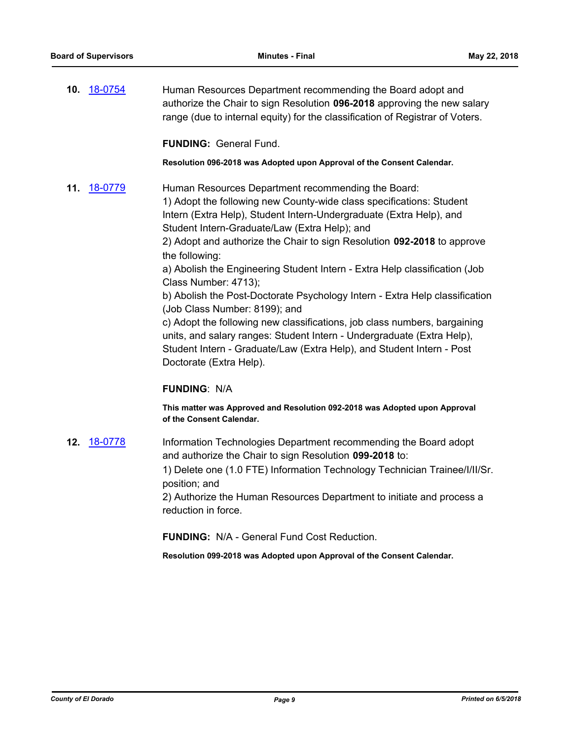**10.** [18-0754](http://eldorado.legistar.com/gateway.aspx?m=l&id=/matter.aspx?key=24101) Human Resources Department recommending the Board adopt and authorize the Chair to sign Resolution **096-2018** approving the new salary range (due to internal equity) for the classification of Registrar of Voters.

**FUNDING:** General Fund.

**Resolution 096-2018 was Adopted upon Approval of the Consent Calendar.**

**11.** [18-0779](http://eldorado.legistar.com/gateway.aspx?m=l&id=/matter.aspx?key=24126) Human Resources Department recommending the Board: 1) Adopt the following new County-wide class specifications: Student Intern (Extra Help), Student Intern-Undergraduate (Extra Help), and Student Intern-Graduate/Law (Extra Help); and

2) Adopt and authorize the Chair to sign Resolution **092-2018** to approve the following:

a) Abolish the Engineering Student Intern - Extra Help classification (Job Class Number: 4713);

b) Abolish the Post-Doctorate Psychology Intern - Extra Help classification (Job Class Number: 8199); and

c) Adopt the following new classifications, job class numbers, bargaining units, and salary ranges: Student Intern - Undergraduate (Extra Help), Student Intern - Graduate/Law (Extra Help), and Student Intern - Post Doctorate (Extra Help).

# **FUNDING**: N/A

**This matter was Approved and Resolution 092-2018 was Adopted upon Approval of the Consent Calendar.**

**12.** [18-0778](http://eldorado.legistar.com/gateway.aspx?m=l&id=/matter.aspx?key=24125) Information Technologies Department recommending the Board adopt and authorize the Chair to sign Resolution **099-2018** to: 1) Delete one (1.0 FTE) Information Technology Technician Trainee/I/II/Sr. position; and 2) Authorize the Human Resources Department to initiate and process a reduction in force.

**FUNDING:** N/A - General Fund Cost Reduction.

**Resolution 099-2018 was Adopted upon Approval of the Consent Calendar.**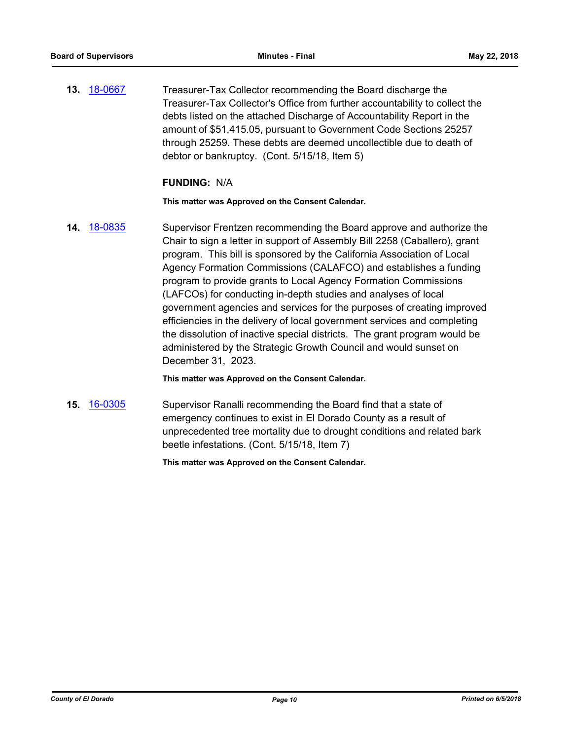**13.** [18-0667](http://eldorado.legistar.com/gateway.aspx?m=l&id=/matter.aspx?key=24012) Treasurer-Tax Collector recommending the Board discharge the Treasurer-Tax Collector's Office from further accountability to collect the debts listed on the attached Discharge of Accountability Report in the amount of \$51,415.05, pursuant to Government Code Sections 25257 through 25259. These debts are deemed uncollectible due to death of debtor or bankruptcy. (Cont. 5/15/18, Item 5)

### **FUNDING:** N/A

**This matter was Approved on the Consent Calendar.**

**14.** [18-0835](http://eldorado.legistar.com/gateway.aspx?m=l&id=/matter.aspx?key=24182) Supervisor Frentzen recommending the Board approve and authorize the Chair to sign a letter in support of Assembly Bill 2258 (Caballero), grant program. This bill is sponsored by the California Association of Local Agency Formation Commissions (CALAFCO) and establishes a funding program to provide grants to Local Agency Formation Commissions (LAFCOs) for conducting in-depth studies and analyses of local government agencies and services for the purposes of creating improved efficiencies in the delivery of local government services and completing the dissolution of inactive special districts. The grant program would be administered by the Strategic Growth Council and would sunset on December 31, 2023.

### **This matter was Approved on the Consent Calendar.**

**15.** [16-0305](http://eldorado.legistar.com/gateway.aspx?m=l&id=/matter.aspx?key=20961) Supervisor Ranalli recommending the Board find that a state of emergency continues to exist in El Dorado County as a result of unprecedented tree mortality due to drought conditions and related bark beetle infestations. (Cont. 5/15/18, Item 7)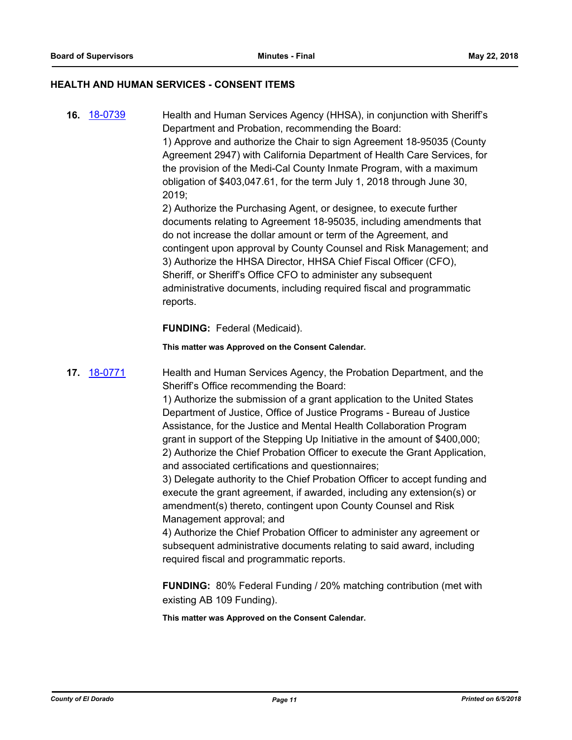### **HEALTH AND HUMAN SERVICES - CONSENT ITEMS**

**16.** [18-0739](http://eldorado.legistar.com/gateway.aspx?m=l&id=/matter.aspx?key=24086) Health and Human Services Agency (HHSA), in conjunction with Sheriff's Department and Probation, recommending the Board:

> 1) Approve and authorize the Chair to sign Agreement 18-95035 (County Agreement 2947) with California Department of Health Care Services, for the provision of the Medi-Cal County Inmate Program, with a maximum obligation of \$403,047.61, for the term July 1, 2018 through June 30, 2019;

> 2) Authorize the Purchasing Agent, or designee, to execute further documents relating to Agreement 18-95035, including amendments that do not increase the dollar amount or term of the Agreement, and contingent upon approval by County Counsel and Risk Management; and 3) Authorize the HHSA Director, HHSA Chief Fiscal Officer (CFO), Sheriff, or Sheriff's Office CFO to administer any subsequent administrative documents, including required fiscal and programmatic reports.

**FUNDING:** Federal (Medicaid).

**This matter was Approved on the Consent Calendar.**

**17.** [18-0771](http://eldorado.legistar.com/gateway.aspx?m=l&id=/matter.aspx?key=24118) Health and Human Services Agency, the Probation Department, and the Sheriff's Office recommending the Board:

> 1) Authorize the submission of a grant application to the United States Department of Justice, Office of Justice Programs - Bureau of Justice Assistance, for the Justice and Mental Health Collaboration Program grant in support of the Stepping Up Initiative in the amount of \$400,000; 2) Authorize the Chief Probation Officer to execute the Grant Application, and associated certifications and questionnaires;

> 3) Delegate authority to the Chief Probation Officer to accept funding and execute the grant agreement, if awarded, including any extension(s) or amendment(s) thereto, contingent upon County Counsel and Risk Management approval; and

4) Authorize the Chief Probation Officer to administer any agreement or subsequent administrative documents relating to said award, including required fiscal and programmatic reports.

**FUNDING:** 80% Federal Funding / 20% matching contribution (met with existing AB 109 Funding).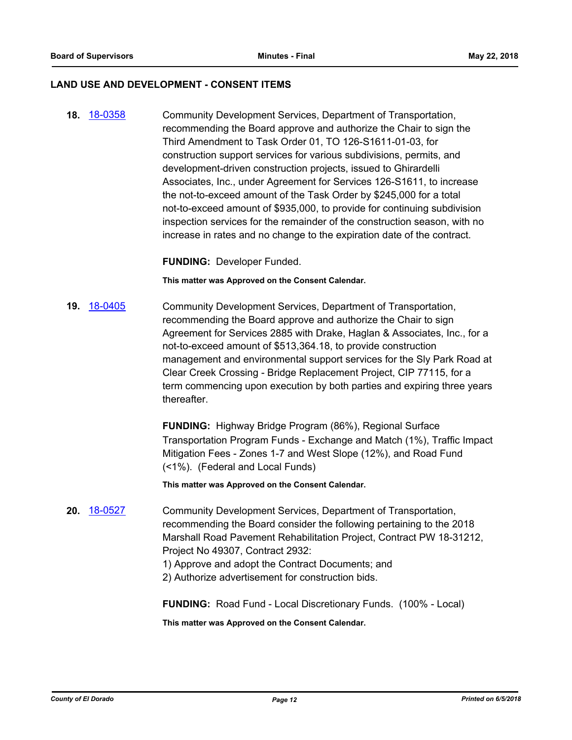### **LAND USE AND DEVELOPMENT - CONSENT ITEMS**

**18.** [18-0358](http://eldorado.legistar.com/gateway.aspx?m=l&id=/matter.aspx?key=23701) Community Development Services, Department of Transportation, recommending the Board approve and authorize the Chair to sign the Third Amendment to Task Order 01, TO 126-S1611-01-03, for construction support services for various subdivisions, permits, and development-driven construction projects, issued to Ghirardelli Associates, Inc., under Agreement for Services 126-S1611, to increase the not-to-exceed amount of the Task Order by \$245,000 for a total not-to-exceed amount of \$935,000, to provide for continuing subdivision inspection services for the remainder of the construction season, with no increase in rates and no change to the expiration date of the contract.

**FUNDING:** Developer Funded.

**This matter was Approved on the Consent Calendar.**

**19.** [18-0405](http://eldorado.legistar.com/gateway.aspx?m=l&id=/matter.aspx?key=23750) Community Development Services, Department of Transportation, recommending the Board approve and authorize the Chair to sign Agreement for Services 2885 with Drake, Haglan & Associates, Inc., for a not-to-exceed amount of \$513,364.18, to provide construction management and environmental support services for the Sly Park Road at Clear Creek Crossing - Bridge Replacement Project, CIP 77115, for a term commencing upon execution by both parties and expiring three years thereafter.

> **FUNDING:** Highway Bridge Program (86%), Regional Surface Transportation Program Funds - Exchange and Match (1%), Traffic Impact Mitigation Fees - Zones 1-7 and West Slope (12%), and Road Fund (<1%). (Federal and Local Funds)

**This matter was Approved on the Consent Calendar.**

- **20.** [18-0527](http://eldorado.legistar.com/gateway.aspx?m=l&id=/matter.aspx?key=23872) Community Development Services, Department of Transportation, recommending the Board consider the following pertaining to the 2018 Marshall Road Pavement Rehabilitation Project, Contract PW 18-31212, Project No 49307, Contract 2932:
	- 1) Approve and adopt the Contract Documents; and
	- 2) Authorize advertisement for construction bids.

**FUNDING:** Road Fund - Local Discretionary Funds. (100% - Local)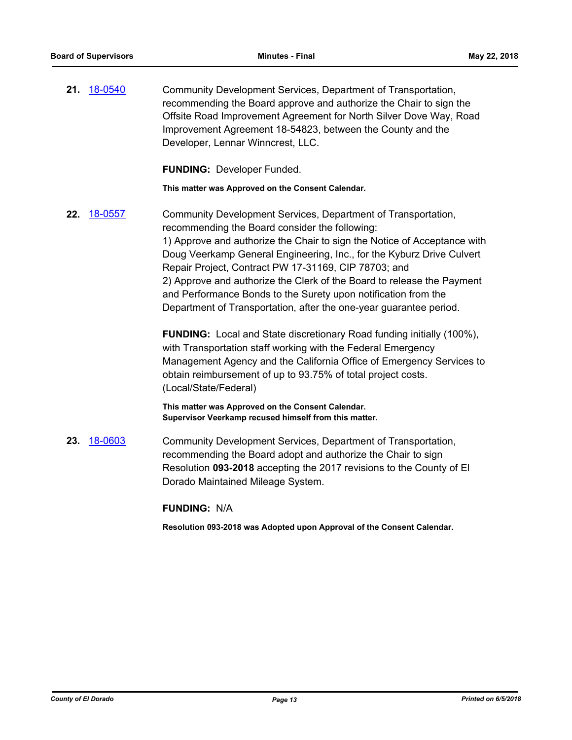**21.** [18-0540](http://eldorado.legistar.com/gateway.aspx?m=l&id=/matter.aspx?key=23885) Community Development Services, Department of Transportation, recommending the Board approve and authorize the Chair to sign the Offsite Road Improvement Agreement for North Silver Dove Way, Road Improvement Agreement 18-54823, between the County and the Developer, Lennar Winncrest, LLC.

**FUNDING:** Developer Funded.

**This matter was Approved on the Consent Calendar.**

**22.** [18-0557](http://eldorado.legistar.com/gateway.aspx?m=l&id=/matter.aspx?key=23902) Community Development Services, Department of Transportation, recommending the Board consider the following: 1) Approve and authorize the Chair to sign the Notice of Acceptance with Doug Veerkamp General Engineering, Inc., for the Kyburz Drive Culvert Repair Project, Contract PW 17-31169, CIP 78703; and 2) Approve and authorize the Clerk of the Board to release the Payment and Performance Bonds to the Surety upon notification from the Department of Transportation, after the one-year guarantee period.

> **FUNDING:** Local and State discretionary Road funding initially (100%), with Transportation staff working with the Federal Emergency Management Agency and the California Office of Emergency Services to obtain reimbursement of up to 93.75% of total project costs. (Local/State/Federal)

**This matter was Approved on the Consent Calendar. Supervisor Veerkamp recused himself from this matter.**

**23.** [18-0603](http://eldorado.legistar.com/gateway.aspx?m=l&id=/matter.aspx?key=23948) Community Development Services, Department of Transportation, recommending the Board adopt and authorize the Chair to sign Resolution **093-2018** accepting the 2017 revisions to the County of El Dorado Maintained Mileage System.

**FUNDING:** N/A

**Resolution 093-2018 was Adopted upon Approval of the Consent Calendar.**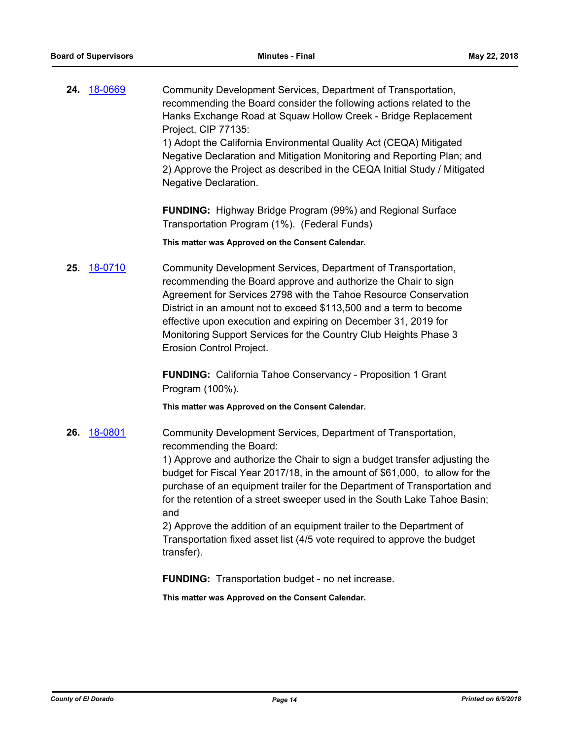**24.** [18-0669](http://eldorado.legistar.com/gateway.aspx?m=l&id=/matter.aspx?key=24014) Community Development Services, Department of Transportation, recommending the Board consider the following actions related to the Hanks Exchange Road at Squaw Hollow Creek - Bridge Replacement Project, CIP 77135: 1) Adopt the California Environmental Quality Act (CEQA) Mitigated

Negative Declaration and Mitigation Monitoring and Reporting Plan; and 2) Approve the Project as described in the CEQA Initial Study / Mitigated Negative Declaration.

**FUNDING:** Highway Bridge Program (99%) and Regional Surface Transportation Program (1%). (Federal Funds)

**This matter was Approved on the Consent Calendar.**

**25.** [18-0710](http://eldorado.legistar.com/gateway.aspx?m=l&id=/matter.aspx?key=24054) Community Development Services, Department of Transportation, recommending the Board approve and authorize the Chair to sign Agreement for Services 2798 with the Tahoe Resource Conservation District in an amount not to exceed \$113,500 and a term to become effective upon execution and expiring on December 31, 2019 for Monitoring Support Services for the Country Club Heights Phase 3 Erosion Control Project.

> **FUNDING:** California Tahoe Conservancy - Proposition 1 Grant Program (100%).

**This matter was Approved on the Consent Calendar.**

**26.** [18-0801](http://eldorado.legistar.com/gateway.aspx?m=l&id=/matter.aspx?key=24148) Community Development Services, Department of Transportation, recommending the Board:

> 1) Approve and authorize the Chair to sign a budget transfer adjusting the budget for Fiscal Year 2017/18, in the amount of \$61,000, to allow for the purchase of an equipment trailer for the Department of Transportation and for the retention of a street sweeper used in the South Lake Tahoe Basin; and

2) Approve the addition of an equipment trailer to the Department of Transportation fixed asset list (4/5 vote required to approve the budget transfer).

**FUNDING:** Transportation budget - no net increase.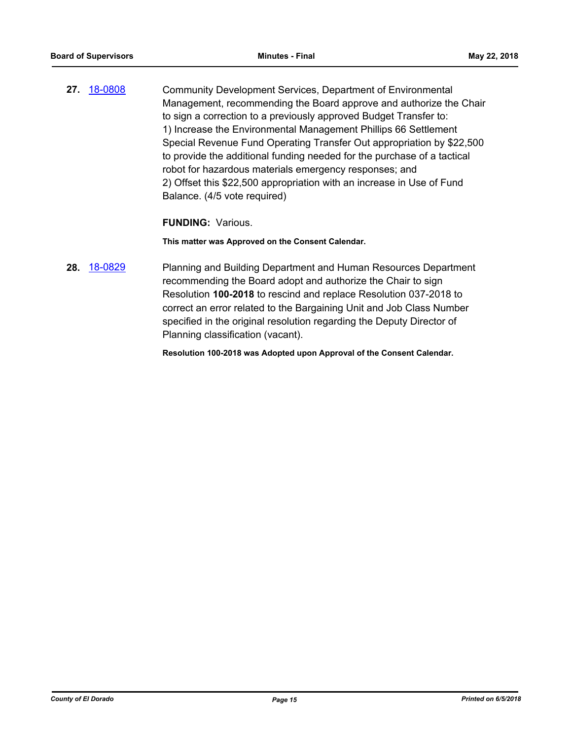**27.** [18-0808](http://eldorado.legistar.com/gateway.aspx?m=l&id=/matter.aspx?key=24155) Community Development Services, Department of Environmental Management, recommending the Board approve and authorize the Chair to sign a correction to a previously approved Budget Transfer to: 1) Increase the Environmental Management Phillips 66 Settlement Special Revenue Fund Operating Transfer Out appropriation by \$22,500 to provide the additional funding needed for the purchase of a tactical robot for hazardous materials emergency responses; and 2) Offset this \$22,500 appropriation with an increase in Use of Fund Balance. (4/5 vote required)

### **FUNDING:** Various.

**This matter was Approved on the Consent Calendar.**

**28.** [18-0829](http://eldorado.legistar.com/gateway.aspx?m=l&id=/matter.aspx?key=24176) Planning and Building Department and Human Resources Department recommending the Board adopt and authorize the Chair to sign Resolution **100-2018** to rescind and replace Resolution 037-2018 to correct an error related to the Bargaining Unit and Job Class Number specified in the original resolution regarding the Deputy Director of Planning classification (vacant).

**Resolution 100-2018 was Adopted upon Approval of the Consent Calendar.**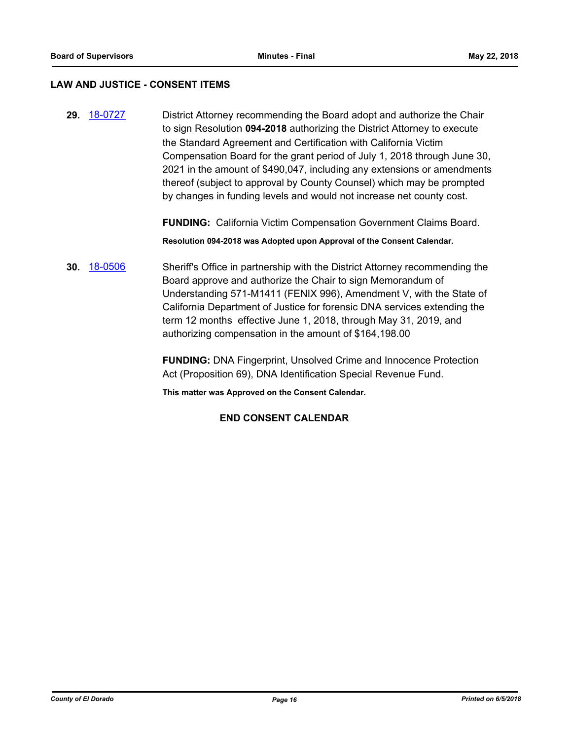### **LAW AND JUSTICE - CONSENT ITEMS**

**29.** [18-0727](http://eldorado.legistar.com/gateway.aspx?m=l&id=/matter.aspx?key=24074) District Attorney recommending the Board adopt and authorize the Chair to sign Resolution **094-2018** authorizing the District Attorney to execute the Standard Agreement and Certification with California Victim Compensation Board for the grant period of July 1, 2018 through June 30, 2021 in the amount of \$490,047, including any extensions or amendments thereof (subject to approval by County Counsel) which may be prompted by changes in funding levels and would not increase net county cost.

**FUNDING:** California Victim Compensation Government Claims Board.

**Resolution 094-2018 was Adopted upon Approval of the Consent Calendar.**

**30.** [18-0506](http://eldorado.legistar.com/gateway.aspx?m=l&id=/matter.aspx?key=23851) Sheriff's Office in partnership with the District Attorney recommending the Board approve and authorize the Chair to sign Memorandum of Understanding 571-M1411 (FENIX 996), Amendment V, with the State of California Department of Justice for forensic DNA services extending the term 12 months effective June 1, 2018, through May 31, 2019, and authorizing compensation in the amount of \$164,198.00

> **FUNDING:** DNA Fingerprint, Unsolved Crime and Innocence Protection Act (Proposition 69), DNA Identification Special Revenue Fund.

**This matter was Approved on the Consent Calendar.**

# **END CONSENT CALENDAR**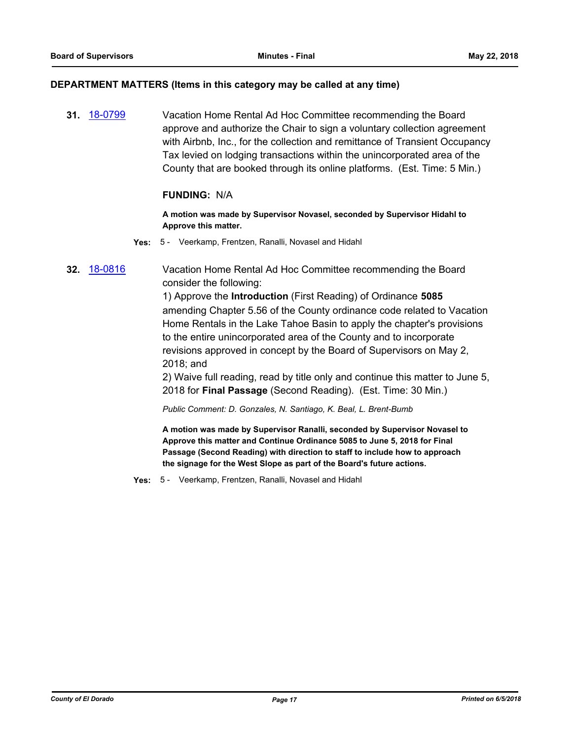### **DEPARTMENT MATTERS (Items in this category may be called at any time)**

**31.** [18-0799](http://eldorado.legistar.com/gateway.aspx?m=l&id=/matter.aspx?key=24146) Vacation Home Rental Ad Hoc Committee recommending the Board approve and authorize the Chair to sign a voluntary collection agreement with Airbnb, Inc., for the collection and remittance of Transient Occupancy Tax levied on lodging transactions within the unincorporated area of the County that are booked through its online platforms. (Est. Time: 5 Min.)

# **FUNDING:** N/A

**A motion was made by Supervisor Novasel, seconded by Supervisor Hidahl to Approve this matter.**

**Yes:** 5 - Veerkamp, Frentzen, Ranalli, Novasel and Hidahl

# **32.** [18-0816](http://eldorado.legistar.com/gateway.aspx?m=l&id=/matter.aspx?key=24163) Vacation Home Rental Ad Hoc Committee recommending the Board consider the following:

1) Approve the **Introduction** (First Reading) of Ordinance **5085** amending Chapter 5.56 of the County ordinance code related to Vacation Home Rentals in the Lake Tahoe Basin to apply the chapter's provisions to the entire unincorporated area of the County and to incorporate revisions approved in concept by the Board of Supervisors on May 2, 2018; and

2) Waive full reading, read by title only and continue this matter to June 5, 2018 for **Final Passage** (Second Reading). (Est. Time: 30 Min.)

*Public Comment: D. Gonzales, N. Santiago, K. Beal, L. Brent-Bumb*

**A motion was made by Supervisor Ranalli, seconded by Supervisor Novasel to Approve this matter and Continue Ordinance 5085 to June 5, 2018 for Final Passage (Second Reading) with direction to staff to include how to approach the signage for the West Slope as part of the Board's future actions.**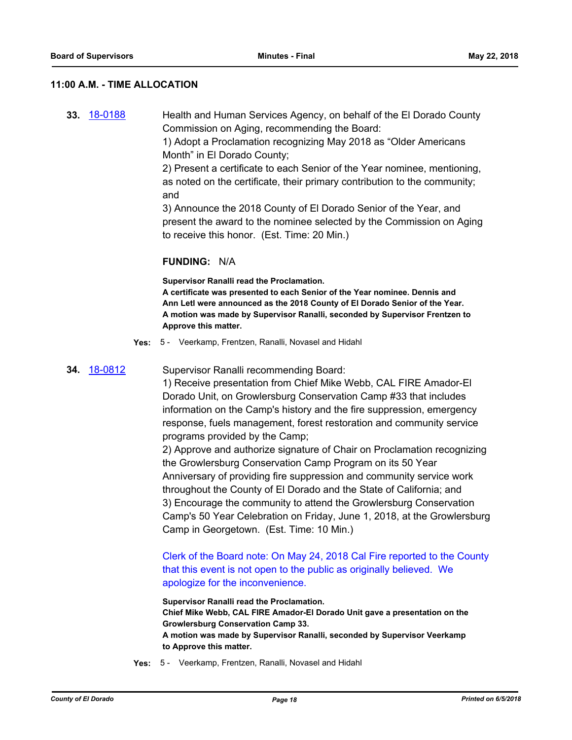### **11:00 A.M. - TIME ALLOCATION**

**33.** [18-0188](http://eldorado.legistar.com/gateway.aspx?m=l&id=/matter.aspx?key=23530) Health and Human Services Agency, on behalf of the El Dorado County Commission on Aging, recommending the Board:

> 1) Adopt a Proclamation recognizing May 2018 as "Older Americans Month" in El Dorado County;

2) Present a certificate to each Senior of the Year nominee, mentioning, as noted on the certificate, their primary contribution to the community; and

3) Announce the 2018 County of El Dorado Senior of the Year, and present the award to the nominee selected by the Commission on Aging to receive this honor. (Est. Time: 20 Min.)

### **FUNDING:** N/A

**Supervisor Ranalli read the Proclamation.**

**A certificate was presented to each Senior of the Year nominee. Dennis and Ann Letl were announced as the 2018 County of El Dorado Senior of the Year. A motion was made by Supervisor Ranalli, seconded by Supervisor Frentzen to Approve this matter.**

**Yes:** 5 - Veerkamp, Frentzen, Ranalli, Novasel and Hidahl

**34.** [18-0812](http://eldorado.legistar.com/gateway.aspx?m=l&id=/matter.aspx?key=24159) Supervisor Ranalli recommending Board:

1) Receive presentation from Chief Mike Webb, CAL FIRE Amador-El Dorado Unit, on Growlersburg Conservation Camp #33 that includes information on the Camp's history and the fire suppression, emergency response, fuels management, forest restoration and community service programs provided by the Camp;

2) Approve and authorize signature of Chair on Proclamation recognizing the Growlersburg Conservation Camp Program on its 50 Year Anniversary of providing fire suppression and community service work throughout the County of El Dorado and the State of California; and 3) Encourage the community to attend the Growlersburg Conservation Camp's 50 Year Celebration on Friday, June 1, 2018, at the Growlersburg Camp in Georgetown. (Est. Time: 10 Min.)

Clerk of the Board note: On May 24, 2018 Cal Fire reported to the County that this event is not open to the public as originally believed. We apologize for the inconvenience.

**Supervisor Ranalli read the Proclamation. Chief Mike Webb, CAL FIRE Amador-El Dorado Unit gave a presentation on the Growlersburg Conservation Camp 33. A motion was made by Supervisor Ranalli, seconded by Supervisor Veerkamp to Approve this matter.**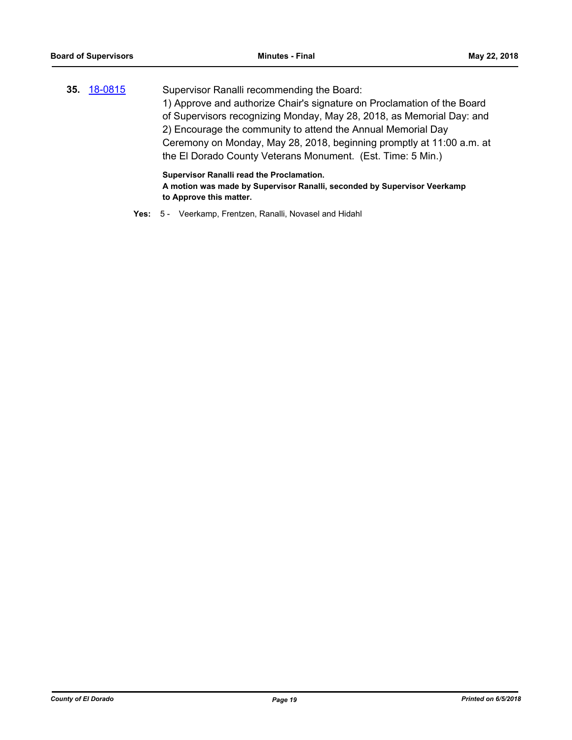|                    | Supervisor Ranalli read the Proclamation.                               |
|--------------------|-------------------------------------------------------------------------|
|                    | the El Dorado County Veterans Monument. (Est. Time: 5 Min.)             |
|                    | Ceremony on Monday, May 28, 2018, beginning promptly at 11:00 a.m. at   |
|                    | 2) Encourage the community to attend the Annual Memorial Day            |
|                    | of Supervisors recognizing Monday, May 28, 2018, as Memorial Day: and   |
|                    | 1) Approve and authorize Chair's signature on Proclamation of the Board |
| 35. <u>18-0815</u> | Supervisor Ranalli recommending the Board:                              |

**A motion was made by Supervisor Ranalli, seconded by Supervisor Veerkamp to Approve this matter.**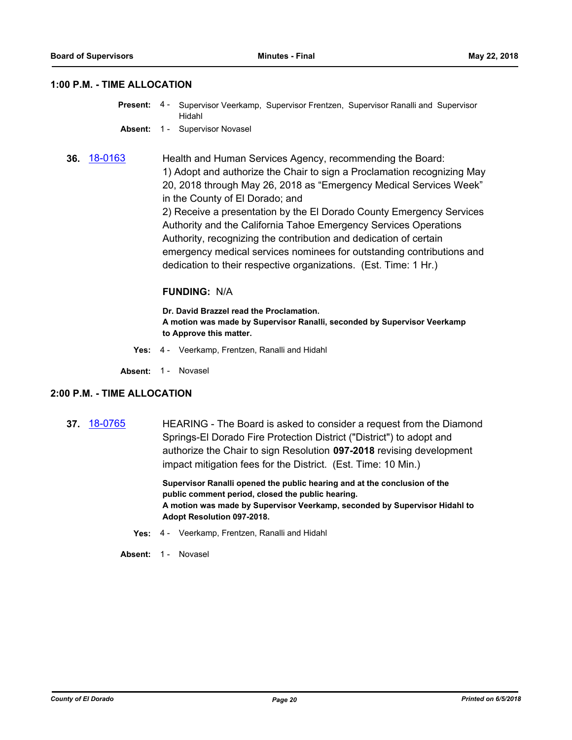### **1:00 P.M. - TIME ALLOCATION**

- Supervisor Veerkamp, Supervisor Frentzen, Supervisor Ranalli and Supervisor Hidahl **Present:** 4 -
- **Absent:** 1 Supervisor Novasel
- **36.** [18-0163](http://eldorado.legistar.com/gateway.aspx?m=l&id=/matter.aspx?key=23505) Health and Human Services Agency, recommending the Board: 1) Adopt and authorize the Chair to sign a Proclamation recognizing May 20, 2018 through May 26, 2018 as "Emergency Medical Services Week" in the County of El Dorado; and 2) Receive a presentation by the El Dorado County Emergency Services

Authority and the California Tahoe Emergency Services Operations Authority, recognizing the contribution and dedication of certain emergency medical services nominees for outstanding contributions and dedication to their respective organizations. (Est. Time: 1 Hr.)

### **FUNDING:** N/A

**Dr. David Brazzel read the Proclamation. A motion was made by Supervisor Ranalli, seconded by Supervisor Veerkamp to Approve this matter.**

- **Yes:** 4 Veerkamp, Frentzen, Ranalli and Hidahl
- Absent: 1 Novasel

### **2:00 P.M. - TIME ALLOCATION**

**37.** [18-0765](http://eldorado.legistar.com/gateway.aspx?m=l&id=/matter.aspx?key=24112) HEARING - The Board is asked to consider a request from the Diamond Springs-El Dorado Fire Protection District ("District") to adopt and authorize the Chair to sign Resolution **097-2018** revising development impact mitigation fees for the District. (Est. Time: 10 Min.)

> **Supervisor Ranalli opened the public hearing and at the conclusion of the public comment period, closed the public hearing. A motion was made by Supervisor Veerkamp, seconded by Supervisor Hidahl to Adopt Resolution 097-2018.**

- **Yes:** 4 Veerkamp, Frentzen, Ranalli and Hidahl
- Absent: 1 Novasel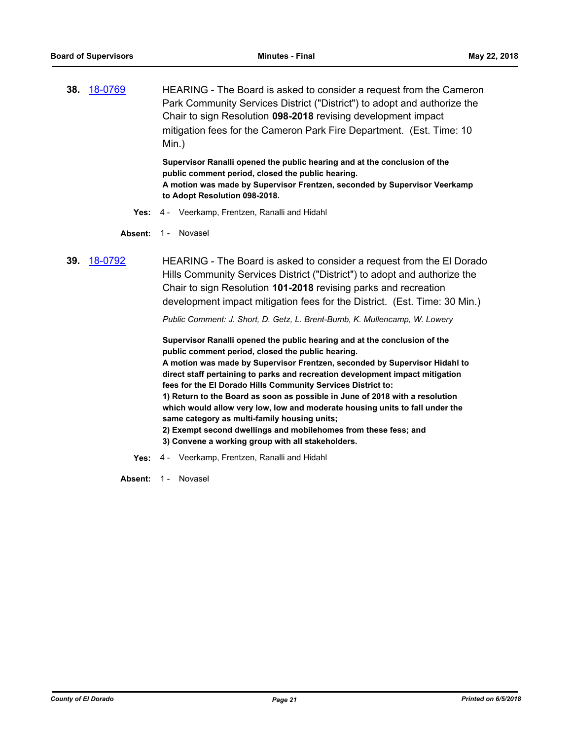**38.** [18-0769](http://eldorado.legistar.com/gateway.aspx?m=l&id=/matter.aspx?key=24116) HEARING - The Board is asked to consider a request from the Cameron Park Community Services District ("District") to adopt and authorize the Chair to sign Resolution **098-2018** revising development impact mitigation fees for the Cameron Park Fire Department. (Est. Time: 10 Min.)

> **Supervisor Ranalli opened the public hearing and at the conclusion of the public comment period, closed the public hearing. A motion was made by Supervisor Frentzen, seconded by Supervisor Veerkamp to Adopt Resolution 098-2018.**

**Yes:** 4 - Veerkamp, Frentzen, Ranalli and Hidahl

Absent: 1 - Novasel

**39.** [18-0792](http://eldorado.legistar.com/gateway.aspx?m=l&id=/matter.aspx?key=24139) HEARING - The Board is asked to consider a request from the El Dorado Hills Community Services District ("District") to adopt and authorize the Chair to sign Resolution **101-2018** revising parks and recreation development impact mitigation fees for the District. (Est. Time: 30 Min.)

*Public Comment: J. Short, D. Getz, L. Brent-Bumb, K. Mullencamp, W. Lowery*

**Supervisor Ranalli opened the public hearing and at the conclusion of the public comment period, closed the public hearing.**

**A motion was made by Supervisor Frentzen, seconded by Supervisor Hidahl to direct staff pertaining to parks and recreation development impact mitigation fees for the El Dorado Hills Community Services District to:**

**1) Return to the Board as soon as possible in June of 2018 with a resolution which would allow very low, low and moderate housing units to fall under the same category as multi-family housing units;**

- **2) Exempt second dwellings and mobilehomes from these fess; and**
- **3) Convene a working group with all stakeholders.**
- **Yes:** 4 Veerkamp, Frentzen, Ranalli and Hidahl

Absent: 1 - Novasel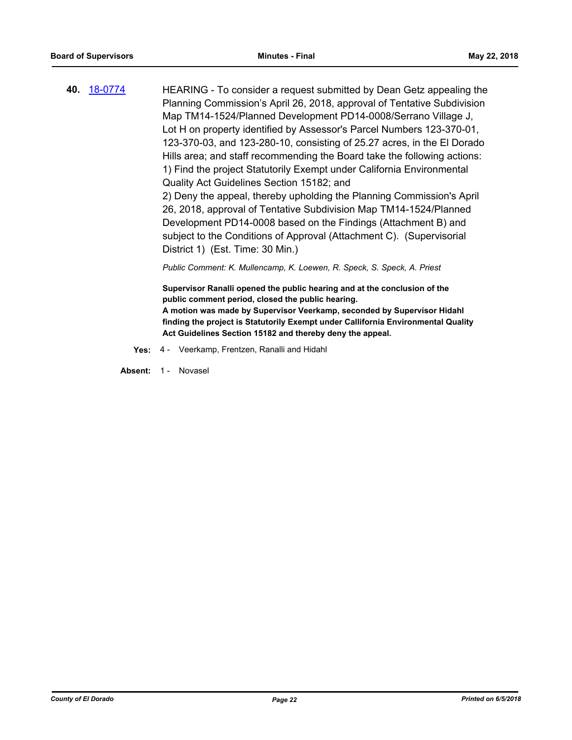**40.** [18-0774](http://eldorado.legistar.com/gateway.aspx?m=l&id=/matter.aspx?key=24121) HEARING - To consider a request submitted by Dean Getz appealing the Planning Commission's April 26, 2018, approval of Tentative Subdivision Map TM14-1524/Planned Development PD14-0008/Serrano Village J, Lot H on property identified by Assessor's Parcel Numbers 123-370-01, 123-370-03, and 123-280-10, consisting of 25.27 acres, in the El Dorado Hills area; and staff recommending the Board take the following actions: 1) Find the project Statutorily Exempt under California Environmental Quality Act Guidelines Section 15182; and 2) Deny the appeal, thereby upholding the Planning Commission's April 26, 2018, approval of Tentative Subdivision Map TM14-1524/Planned Development PD14-0008 based on the Findings (Attachment B) and subject to the Conditions of Approval (Attachment C). (Supervisorial District 1) (Est. Time: 30 Min.) *Public Comment: K. Mullencamp, K. Loewen, R. Speck, S. Speck, A. Priest*

> **Supervisor Ranalli opened the public hearing and at the conclusion of the public comment period, closed the public hearing. A motion was made by Supervisor Veerkamp, seconded by Supervisor Hidahl finding the project is Statutorily Exempt under Callifornia Environmental Quality Act Guidelines Section 15182 and thereby deny the appeal.**

**Yes:** 4 - Veerkamp, Frentzen, Ranalli and Hidahl

Absent: 1 - Novasel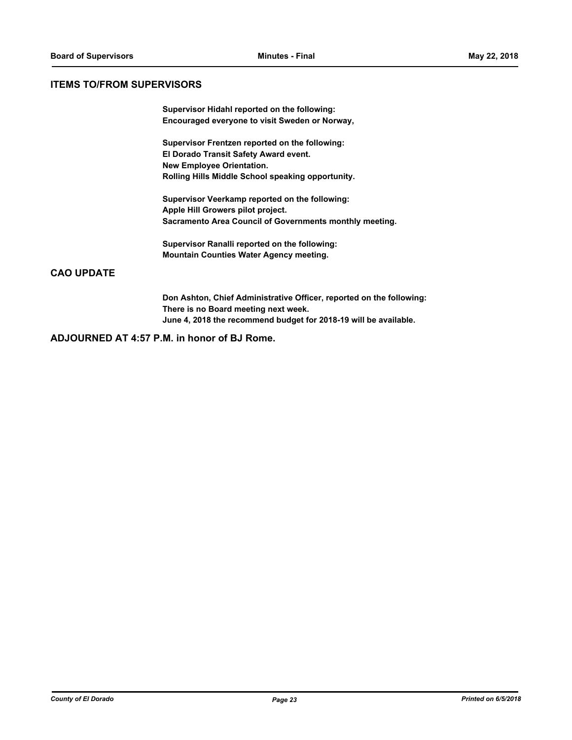### **ITEMS TO/FROM SUPERVISORS**

**Supervisor Hidahl reported on the following: Encouraged everyone to visit Sweden or Norway,**

**Supervisor Frentzen reported on the following: El Dorado Transit Safety Award event. New Employee Orientation. Rolling Hills Middle School speaking opportunity.**

**Supervisor Veerkamp reported on the following: Apple Hill Growers pilot project. Sacramento Area Council of Governments monthly meeting.**

**Supervisor Ranalli reported on the following: Mountain Counties Water Agency meeting.**

# **CAO UPDATE**

**Don Ashton, Chief Administrative Officer, reported on the following: There is no Board meeting next week. June 4, 2018 the recommend budget for 2018-19 will be available.**

**ADJOURNED AT 4:57 P.M. in honor of BJ Rome.**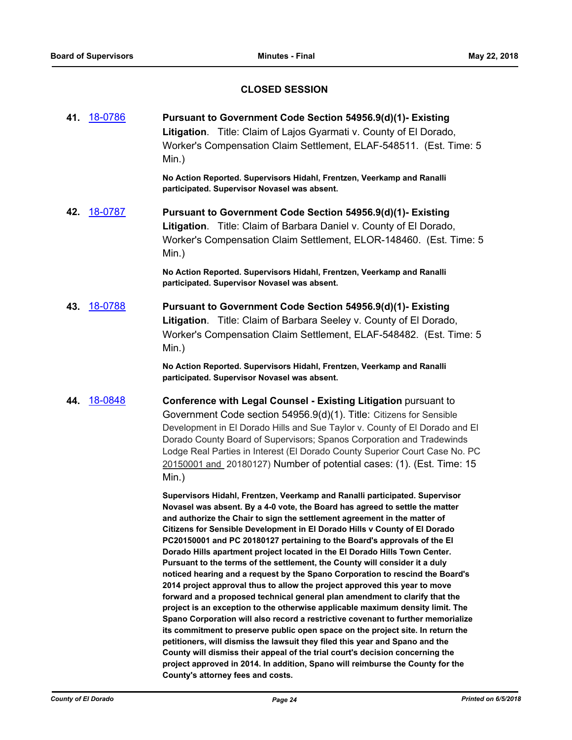# **CLOSED SESSION**

**41.** [18-0786](http://eldorado.legistar.com/gateway.aspx?m=l&id=/matter.aspx?key=24133) **Pursuant to Government Code Section 54956.9(d)(1)- Existing Litigation**. Title: Claim of Lajos Gyarmati v. County of El Dorado, Worker's Compensation Claim Settlement, ELAF-548511. (Est. Time: 5 Min.)

> **No Action Reported. Supervisors Hidahl, Frentzen, Veerkamp and Ranalli participated. Supervisor Novasel was absent.**

**42.** [18-0787](http://eldorado.legistar.com/gateway.aspx?m=l&id=/matter.aspx?key=24134) **Pursuant to Government Code Section 54956.9(d)(1)- Existing Litigation**. Title: Claim of Barbara Daniel v. County of El Dorado, Worker's Compensation Claim Settlement, ELOR-148460. (Est. Time: 5 Min.)

> **No Action Reported. Supervisors Hidahl, Frentzen, Veerkamp and Ranalli participated. Supervisor Novasel was absent.**

**43.** [18-0788](http://eldorado.legistar.com/gateway.aspx?m=l&id=/matter.aspx?key=24135) **Pursuant to Government Code Section 54956.9(d)(1)- Existing Litigation**. Title: Claim of Barbara Seeley v. County of El Dorado, Worker's Compensation Claim Settlement, ELAF-548482. (Est. Time: 5 Min.)

> **No Action Reported. Supervisors Hidahl, Frentzen, Veerkamp and Ranalli participated. Supervisor Novasel was absent.**

**44.** [18-0848](http://eldorado.legistar.com/gateway.aspx?m=l&id=/matter.aspx?key=24195) **Conference with Legal Counsel - Existing Litigation** pursuant to

Government Code section 54956.9(d)(1). Title: Citizens for Sensible Development in El Dorado Hills and Sue Taylor v. County of El Dorado and El Dorado County Board of Supervisors; Spanos Corporation and Tradewinds Lodge Real Parties in Interest (El Dorado County Superior Court Case No. PC 20150001 and 20180127) Number of potential cases: (1). (Est. Time: 15 Min.)

**Supervisors Hidahl, Frentzen, Veerkamp and Ranalli participated. Supervisor Novasel was absent. By a 4-0 vote, the Board has agreed to settle the matter and authorize the Chair to sign the settlement agreement in the matter of Citizens for Sensible Development in El Dorado Hills v County of El Dorado PC20150001 and PC 20180127 pertaining to the Board's approvals of the El Dorado Hills apartment project located in the El Dorado Hills Town Center. Pursuant to the terms of the settlement, the County will consider it a duly noticed hearing and a request by the Spano Corporation to rescind the Board's 2014 project approval thus to allow the project approved this year to move forward and a proposed technical general plan amendment to clarify that the project is an exception to the otherwise applicable maximum density limit. The Spano Corporation will also record a restrictive covenant to further memorialize its commitment to preserve public open space on the project site. In return the petitioners, will dismiss the lawsuit they filed this year and Spano and the County will dismiss their appeal of the trial court's decision concerning the project approved in 2014. In addition, Spano will reimburse the County for the County's attorney fees and costs.**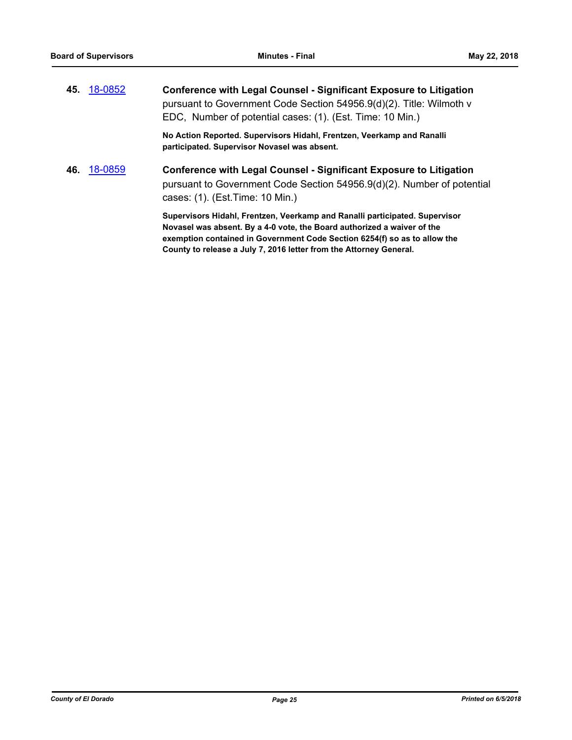|     | 45. 18-0852 | <b>Conference with Legal Counsel - Significant Exposure to Litigation</b><br>pursuant to Government Code Section 54956.9(d)(2). Title: Wilmoth v<br>EDC, Number of potential cases: (1). (Est. Time: 10 Min.)                                                                                             |
|-----|-------------|-----------------------------------------------------------------------------------------------------------------------------------------------------------------------------------------------------------------------------------------------------------------------------------------------------------|
|     |             | No Action Reported. Supervisors Hidahl, Frentzen, Veerkamp and Ranalli<br>participated. Supervisor Novasel was absent.                                                                                                                                                                                    |
| 46. | 18-0859     | <b>Conference with Legal Counsel - Significant Exposure to Litigation</b><br>pursuant to Government Code Section 54956.9(d)(2). Number of potential<br>cases: (1). (Est. Time: 10 Min.)                                                                                                                   |
|     |             | Supervisors Hidahl, Frentzen, Veerkamp and Ranalli participated. Supervisor<br>Novasel was absent. By a 4-0 vote, the Board authorized a waiver of the<br>exemption contained in Government Code Section 6254(f) so as to allow the<br>County to release a July 7, 2016 letter from the Attorney General. |